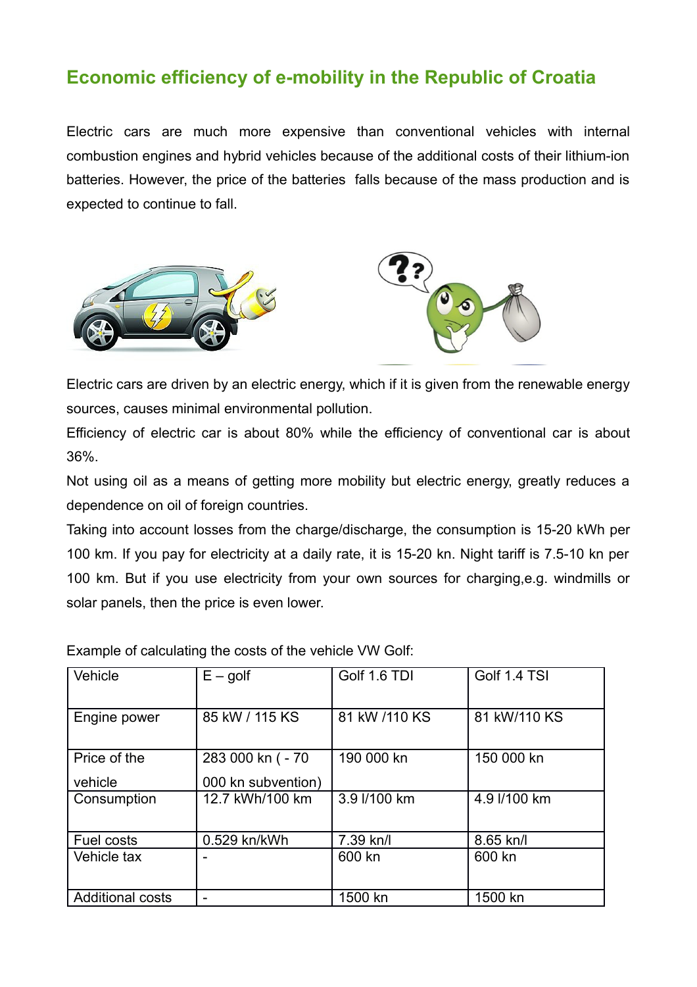## **Economic efficiency of e-mobility in the Republic of Croatia**

Electric cars are much more expensive than conventional vehicles with internal combustion engines and hybrid vehicles because of the additional costs of their lithium-ion batteries. However, the price of the batteries falls because of the mass production and is expected to continue to fall.





Electric cars are driven by an electric energy, which if it is given from the renewable energy sources, causes minimal environmental pollution.

Efficiency of electric car is about 80% while the efficiency of conventional car is about 36%.

Not using oil as a means of getting more mobility but electric energy, greatly reduces a dependence on oil of foreign countries.

Taking into account losses from the charge/discharge, the consumption is 15-20 kWh per 100 km. If you pay for electricity at a daily rate, it is 15-20 kn. Night tariff is 7.5-10 kn per 100 km. But if you use electricity from your own sources for charging,e.g. windmills or solar panels, then the price is even lower.

Example of calculating the costs of the vehicle VW Golf:

| Vehicle                 | $E -$ golf         | Golf 1.6 TDI  | Golf 1.4 TSI |  |
|-------------------------|--------------------|---------------|--------------|--|
| Engine power            | 85 kW / 115 KS     | 81 kW /110 KS | 81 kW/110 KS |  |
| Price of the            | 283 000 kn ( - 70  | 190 000 kn    | 150 000 kn   |  |
| vehicle                 | 000 kn subvention) |               |              |  |
| Consumption             | 12.7 kWh/100 km    | 3.9 l/100 km  | 4.9 l/100 km |  |
| Fuel costs              | 0.529 kn/kWh       | 7.39 kn/l     | 8.65 kn/l    |  |
| Vehicle tax             |                    | 600 kn        | 600 kn       |  |
| <b>Additional costs</b> |                    | 1500 kn       | 1500 kn      |  |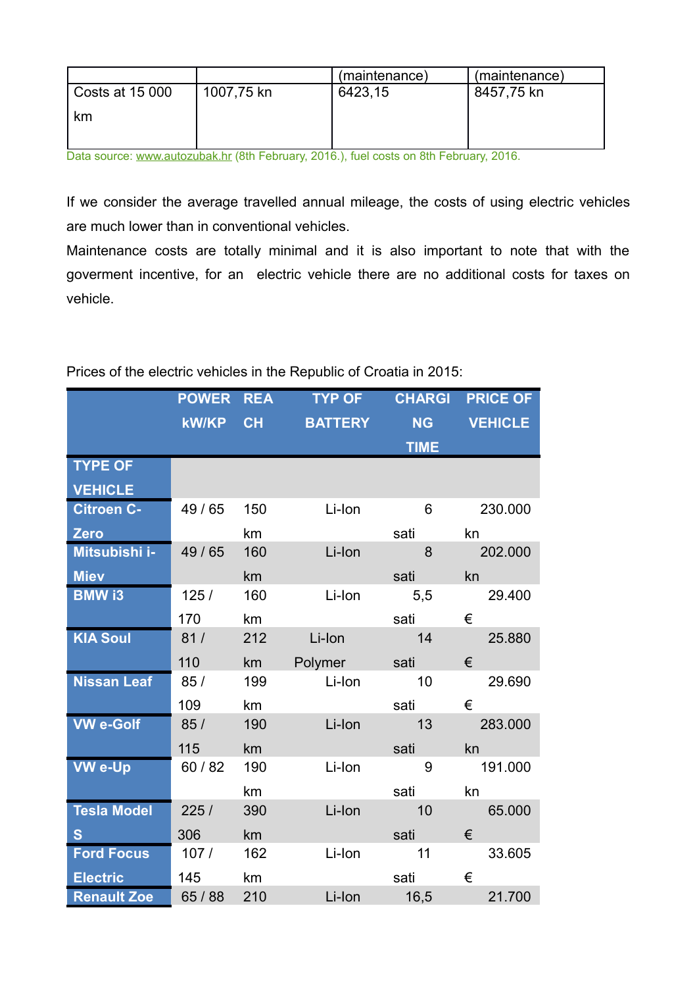|                   |            | (maintenance) | (maintenance) |
|-------------------|------------|---------------|---------------|
| l Costs at 15 000 | 1007,75 kn | 6423,15       | 8457,75 kn    |
| km                |            |               |               |
|                   |            |               |               |

Data source: www.autozubak.hr (8th February, 2016.), fuel costs on 8th February, 2016.

If we consider the average travelled annual mileage, the costs of using electric vehicles are much lower than in conventional vehicles.

Maintenance costs are totally minimal and it is also important to note that with the goverment incentive, for an electric vehicle there are no additional costs for taxes on vehicle.

|                    | <b>POWER</b> | <b>REA</b> | <b>TYP OF</b>  | <b>CHARGI</b> | <b>PRICE OF</b> |
|--------------------|--------------|------------|----------------|---------------|-----------------|
|                    | <b>kW/KP</b> | CH         | <b>BATTERY</b> | <b>NG</b>     | <b>VEHICLE</b>  |
|                    |              |            |                | <b>TIME</b>   |                 |
| <b>TYPE OF</b>     |              |            |                |               |                 |
| <b>VEHICLE</b>     |              |            |                |               |                 |
| <b>Citroen C-</b>  | 49 / 65      | 150        | Li-Ion         | 6             | 230.000         |
| Zero               |              | km         |                | sati          | kn              |
| Mitsubishi i-      | 49/65        | 160        | Li-Ion         | 8             | 202.000         |
| <b>Miev</b>        |              | km         |                | sati          | kn              |
| <b>BMW i3</b>      | 125/         | 160        | Li-Ion         | 5,5           | 29.400          |
|                    | 170          | km         |                | sati          | €               |
| <b>KIA Soul</b>    | 81/          | 212        | Li-Ion         | 14            | 25.880          |
|                    | 110          | km         | Polymer        | sati          | €               |
| <b>Nissan Leaf</b> | 85/          | 199        | Li-Ion         | 10            | 29.690          |
|                    | 109          | km         |                | sati          | €               |
| <b>VW e-Golf</b>   | 85/          | 190        | Li-Ion         | 13            | 283.000         |
|                    | 115          | km         |                | sati          | kn a            |
| <b>VW e-Up</b>     | 60 / 82      | 190        | Li-Ion         | 9             | 191.000         |
|                    |              | km         |                | sati          | kn              |
| <b>Tesla Model</b> | 225/         | 390        | Li-Ion         | 10            | 65.000          |
| S                  | 306          | km         |                | sati          | €               |
| <b>Ford Focus</b>  | 107/         | 162        | Li-Ion         | 11            | 33.605          |
| <b>Electric</b>    | 145          | km         |                | sati          | €               |
| <b>Renault Zoe</b> | 65 / 88      | 210        | Li-Ion         | 16,5          | 21.700          |

## Prices of the electric vehicles in the Republic of Croatia in 2015: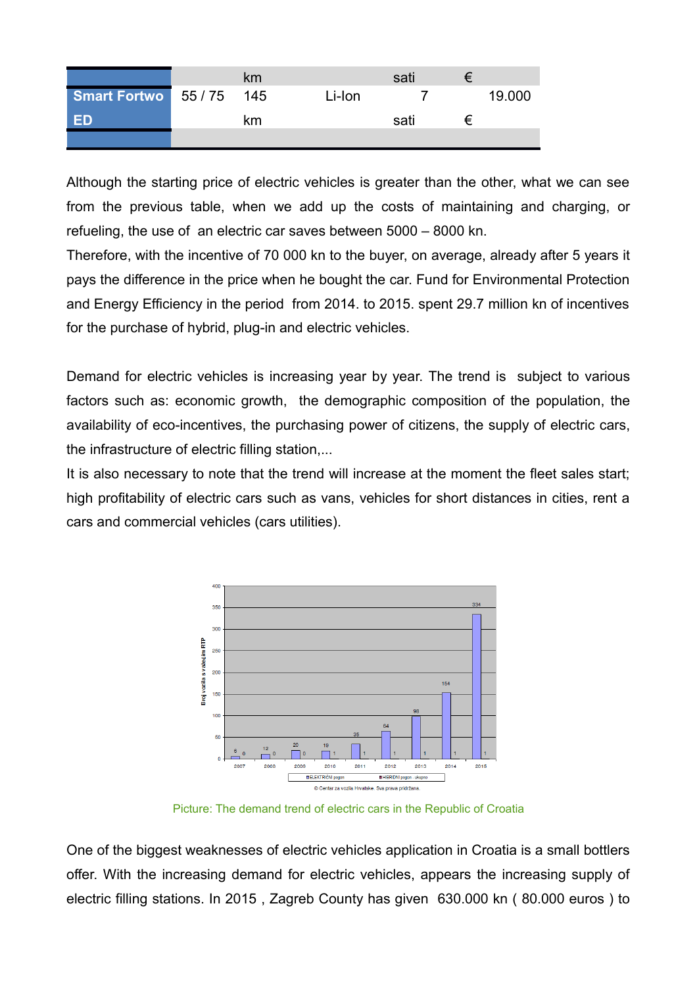|                          | km |        | sati | = |        |
|--------------------------|----|--------|------|---|--------|
| Smart Fortwo 55 / 75 145 |    | Li-Ion |      |   | 19.000 |
| -ED                      | km |        | sati | ₽ |        |
|                          |    |        |      |   |        |

Although the starting price of electric vehicles is greater than the other, what we can see from the previous table, when we add up the costs of maintaining and charging, or refueling, the use of an electric car saves between 5000 – 8000 kn.

Therefore, with the incentive of 70 000 kn to the buyer, on average, already after 5 years it pays the difference in the price when he bought the car. Fund for Environmental Protection and Energy Efficiency in the period from 2014. to 2015. spent 29.7 million kn of incentives for the purchase of hybrid, plug-in and electric vehicles.

Demand for electric vehicles is increasing year by year. The trend is subject to various factors such as: economic growth, the demographic composition of the population, the availability of eco-incentives, the purchasing power of citizens, the supply of electric cars, the infrastructure of electric filling station,...

It is also necessary to note that the trend will increase at the moment the fleet sales start; high profitability of electric cars such as vans, vehicles for short distances in cities, rent a cars and commercial vehicles (cars utilities).



Picture: The demand trend of electric cars in the Republic of Croatia

One of the biggest weaknesses of electric vehicles application in Croatia is a small bottlers offer. With the increasing demand for electric vehicles, appears the increasing supply of electric filling stations. In 2015 , Zagreb County has given 630.000 kn ( 80.000 euros ) to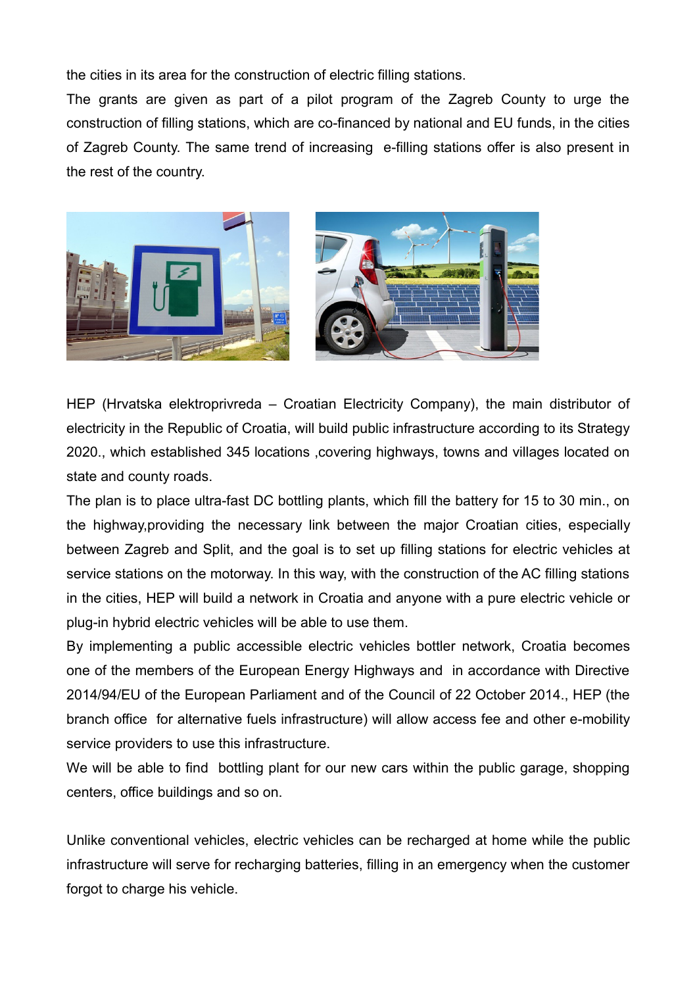the cities in its area for the construction of electric filling stations.

The grants are given as part of a pilot program of the Zagreb County to urge the construction of filling stations, which are co-financed by national and EU funds, in the cities of Zagreb County. The same trend of increasing e-filling stations offer is also present in the rest of the country.



HEP (Hrvatska elektroprivreda – Croatian Electricity Company), the main distributor of electricity in the Republic of Croatia, will build public infrastructure according to its Strategy 2020., which established 345 locations ,covering highways, towns and villages located on state and county roads.

The plan is to place ultra-fast DC bottling plants, which fill the battery for 15 to 30 min., on the highway,providing the necessary link between the major Croatian cities, especially between Zagreb and Split, and the goal is to set up filling stations for electric vehicles at service stations on the motorway. In this way, with the construction of the AC filling stations in the cities, HEP will build a network in Croatia and anyone with a pure electric vehicle or plug-in hybrid electric vehicles will be able to use them.

By implementing a public accessible electric vehicles bottler network, Croatia becomes one of the members of the European Energy Highways and in accordance with Directive 2014/94/EU of the European Parliament and of the Council of 22 October 2014., HEP (the branch office for alternative fuels infrastructure) will allow access fee and other e-mobility service providers to use this infrastructure.

We will be able to find bottling plant for our new cars within the public garage, shopping centers, office buildings and so on.

Unlike conventional vehicles, electric vehicles can be recharged at home while the public infrastructure will serve for recharging batteries, filling in an emergency when the customer forgot to charge his vehicle.